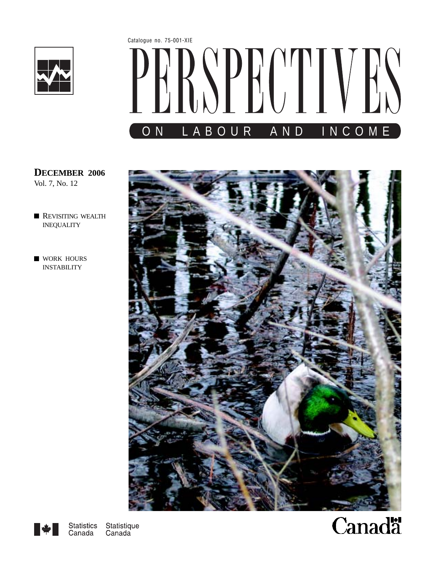

# Catalogue no. 75-001-XIE SPECTE ON LABOUR AND INCOME

**DECEMBER 2006** Vol. 7, No. 12

- **[REVISITING](#page-2-0) WEALTH** INEQUALITY
- **WORK HOURS** INSTABILITY





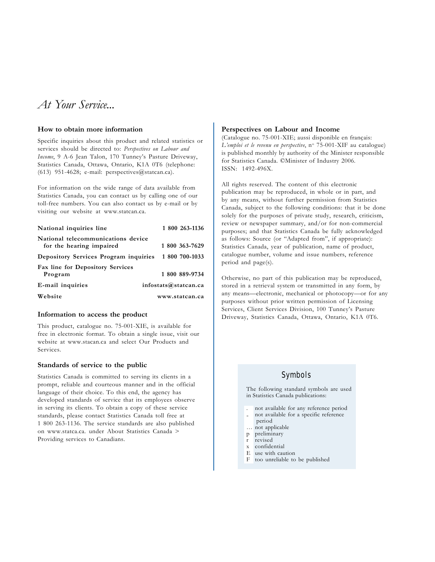## *At Your Service...*

#### **How to obtain more information**

Specific inquiries about this product and related statistics or services should be directed to: *Perspectives on Labour and Income*, 9 A-6 Jean Talon, 170 Tunney's Pasture Driveway, Statistics Canada, Ottawa, Ontario, K1A 0T6 (telephone: (613) 951-4628; e-mail: perspectives@statcan.ca).

For information on the wide range of data available from Statistics Canada, you can contact us by calling one of our toll-free numbers. You can also contact us by e-mail or by visiting our website at www.statcan.ca.

| National inquiries line                                        | 1 800 263-1136       |
|----------------------------------------------------------------|----------------------|
| National telecommunications device<br>for the hearing impaired | 1 800 363-7629       |
| Depository Services Program inquiries                          | 1 800 700-1033       |
| <b>Fax line for Depository Services</b>                        |                      |
| Program                                                        | 1 800 889-9734       |
| E-mail inquiries                                               | infostats@statcan.ca |
| Website                                                        | www.statcan.ca       |

#### **Information to access the product**

This product, catalogue no. 75-001-XIE, is available for free in electronic format. To obtain a single issue, visit our website at www.stacan.ca and select Our Products and Services.

#### **Standards of service to the public**

Statistics Canada is committed to serving its clients in a prompt, reliable and courteous manner and in the official language of their choice. To this end, the agency has developed standards of service that its employees observe in serving its clients. To obtain a copy of these service standards, please contact Statistics Canada toll free at 1 800 263-1136. The service standards are also published on www.statca.ca. under About Statistics Canada > Providing services to Canadians.

#### **Perspectives on Labour and Income**

(Catalogue no. 75-001-XIE; aussi disponible en français: L'emploi et le revenu en perspective, n<sup>o</sup> 75-001-XIF au catalogue) is published monthly by authority of the Minister responsible for Statistics Canada. ©Minister of Industry 2006. ISSN: 1492-496X.

All rights reserved. The content of this electronic publication may be reproduced, in whole or in part, and by any means, without further permission from Statistics Canada, subject to the following conditions: that it be done solely for the purposes of private study, research, criticism, review or newspaper summary, and/or for non-commercial purposes; and that Statistics Canada be fully acknowledged as follows: Source (or "Adapted from", if appropriate): Statistics Canada, year of publication, name of product, catalogue number, volume and issue numbers, reference period and page(s).

Otherwise, no part of this publication may be reproduced, stored in a retrieval system or transmitted in any form, by any means—electronic, mechanical or photocopy—or for any purposes without prior written permission of Licensing Services, Client Services Division, 100 Tunney's Pasture Driveway, Statistics Canada, Ottawa, Ontario, K1A 0T6.

#### Symbols

The following standard symbols are used in Statistics Canada publications:

- . not available for any reference period
- not available for a specific reference
- period
- … not applicable
- p preliminary
- r revised
- x confidential
- use with caution
- F too unreliable to be published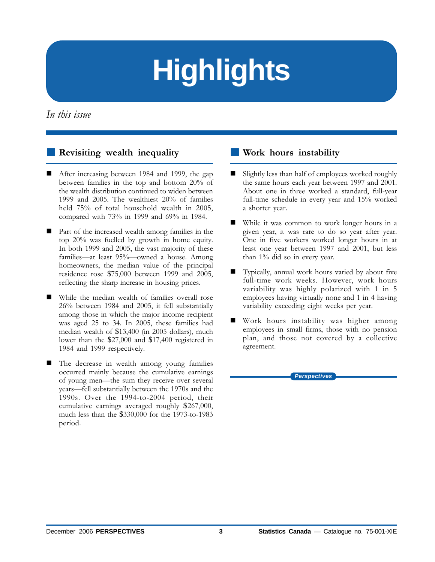# **Highlights**

<span id="page-2-0"></span>In this issue

# **[Revisiting wealth inequality](#page-4-0)**

- - After increasing between 1984 and 1999, the gap between families in the top and bottom 20% of the wealth distribution continued to widen between 1999 and 2005. The wealthiest 20% of families held 75% of total household wealth in 2005, compared with 73% in 1999 and 69% in 1984.
- - Part of the increased wealth among families in the top 20% was fuelled by growth in home equity. In both 1999 and 2005, the vast majority of these families—at least 95%—owned a house. Among homeowners, the median value of the principal residence rose \$75,000 between 1999 and 2005, reflecting the sharp increase in housing prices.
- While the median wealth of families overall rose 26% between 1984 and 2005, it fell substantially among those in which the major income recipient was aged 25 to 34. In 2005, these families had median wealth of \$13,400 (in 2005 dollars), much lower than the \$27,000 and \$17,400 registered in 1984 and 1999 respectively.
- - The decrease in wealth among young families occurred mainly because the cumulative earnings of young men—the sum they receive over several years—fell substantially between the 1970s and the 1990s. Over the 1994-to-2004 period, their cumulative earnings averaged roughly \$267,000, much less than the \$330,000 for the 1973-to-1983 period.

## **Work hours instability**

- - Slightly less than half of employees worked roughly the same hours each year between 1997 and 2001. About one in three worked a standard, full-year full-time schedule in every year and 15% worked a shorter year.
- - While it was common to work longer hours in a given year, it was rare to do so year after year. One in five workers worked longer hours in at least one year between 1997 and 2001, but less than 1% did so in every year.
- - Typically, annual work hours varied by about five full-time work weeks. However, work hours variability was highly polarized with 1 in 5 employees having virtually none and 1 in 4 having variability exceeding eight weeks per year.
- - Work hours instability was higher among employees in small firms, those with no pension plan, and those not covered by a collective agreement.

*Perspectives*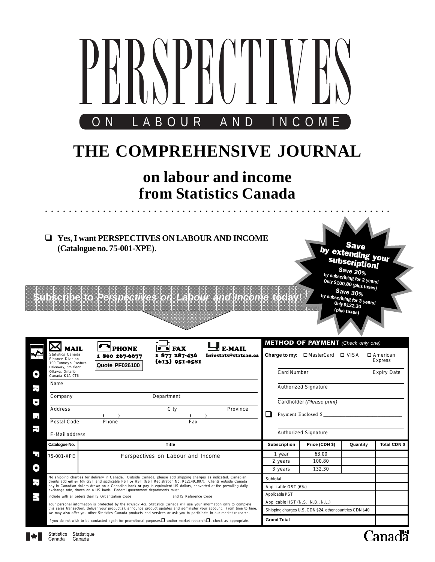| LABOUR AND INCOME<br>O N<br>THE COMPREHENSIVE JOURNAL<br>on labour and income                       |                                                                                                                                                                                                                                                         |                                                 |                                       |                                   |                                                                                                 |                                                                                                                                                                                                                             |                       |
|-----------------------------------------------------------------------------------------------------|---------------------------------------------------------------------------------------------------------------------------------------------------------------------------------------------------------------------------------------------------------|-------------------------------------------------|---------------------------------------|-----------------------------------|-------------------------------------------------------------------------------------------------|-----------------------------------------------------------------------------------------------------------------------------------------------------------------------------------------------------------------------------|-----------------------|
|                                                                                                     |                                                                                                                                                                                                                                                         |                                                 | from Statistics Canada                |                                   |                                                                                                 |                                                                                                                                                                                                                             |                       |
|                                                                                                     | Yes, I want PERSPECTIVES ON LABOUR AND INCOME<br>(Catalogue no. 75-001-XPE).<br>$A \vee B$<br>2.8981<br>医伯                                                                                                                                              |                                                 | <i>i a i od o ) a i i c.</i> je       | 3 I O<br>ſθ.                      |                                                                                                 | े पहरे<br>ज<br>by extending your<br>subscription!<br><b>Save 20%</b><br>by subscribing for 2 years!<br>Only \$100.80 (plus taxes)<br><b>Save 30%</b><br>by subscribing for 3 years!<br><b>Only \$132.30</b><br>(plus taxes) |                       |
| <b>MAIL</b><br>Statistics Canada<br>Finance Division<br>100 Tunney's Pasture<br>Driveway, 6th floor | ı<br><b>PHONE</b><br>1 800 267-6677<br>Quote PF026100                                                                                                                                                                                                   | <b>FAX</b><br>1 877 287-436<br>$(613)$ 951-0581 | <b>E-MAIL</b><br>Infostats@statcan.ca |                                   | <b>METHOD OF PAYMENT</b> (Check only one)<br><b>Charge to my:</b> $\Box$ MasterCard $\Box$ VISA |                                                                                                                                                                                                                             | □ American<br>Express |
| Ottawa, Ontario<br>0<br>Canada K1A 0T6                                                              |                                                                                                                                                                                                                                                         |                                                 |                                       | Card Number                       |                                                                                                 |                                                                                                                                                                                                                             | <b>Expiry Date</b>    |
| Name<br>$\overline{\mathbf{r}}$<br>Company                                                          |                                                                                                                                                                                                                                                         | Department                                      |                                       |                                   | Authorized Signature                                                                            |                                                                                                                                                                                                                             |                       |
| Ų<br>Address                                                                                        |                                                                                                                                                                                                                                                         | City                                            | Province                              |                                   | Cardholder (Please print)                                                                       |                                                                                                                                                                                                                             |                       |
| $\mathbf{u}$<br>Postal Code                                                                         | Phone                                                                                                                                                                                                                                                   | Fax                                             |                                       | ❏                                 | Payment Enclosed \$                                                                             |                                                                                                                                                                                                                             |                       |
| $\overline{a}$                                                                                      |                                                                                                                                                                                                                                                         |                                                 |                                       |                                   | Authorized Signature                                                                            |                                                                                                                                                                                                                             |                       |
| E-Mail address<br>Catalogue No.                                                                     |                                                                                                                                                                                                                                                         | <b>Title</b>                                    |                                       | <b>Subscription</b>               | Price (CDN \$)                                                                                  | Quantity                                                                                                                                                                                                                    | Total CDN \$          |
| 51<br>75-001-XPE                                                                                    |                                                                                                                                                                                                                                                         | Perspectives on Labour and Income               |                                       | 1 year                            | 63.00                                                                                           |                                                                                                                                                                                                                             |                       |
|                                                                                                     |                                                                                                                                                                                                                                                         |                                                 |                                       | 2 years                           | 100.80                                                                                          |                                                                                                                                                                                                                             |                       |
| O                                                                                                   | No shipping charges for delivery in Canada. Outside Canada, please add shipping charges as indicated. Canadian                                                                                                                                          |                                                 |                                       | 3 years                           | 132.30                                                                                          |                                                                                                                                                                                                                             |                       |
| $\overline{\mathbf{r}}$                                                                             | clients add either 6% GST and applicable PST or HST (GST Registration No. R121491807). Clients outside Canada<br>pay in Canadian dollars drawn on a Canadian bank or pay in equivalent US dollars, converted at the prevailing daily                    |                                                 |                                       | Subtotal<br>Applicable GST (6%)   |                                                                                                 |                                                                                                                                                                                                                             |                       |
| N                                                                                                   | exchange rate, drawn on a US bank. Federal government departments must                                                                                                                                                                                  |                                                 |                                       | Applicable PST                    |                                                                                                 |                                                                                                                                                                                                                             |                       |
|                                                                                                     | Your personal information is protected by the Privacy Act. Statistics Canada will use your information only to complete<br>this sales transaction, deliver your product(s), announce product updates and administer your account. From time to time,    |                                                 |                                       | Applicable HST (N.S., N.B., N.L.) | Shipping charges U.S. CDN \$24, other countries CDN \$40                                        |                                                                                                                                                                                                                             |                       |
|                                                                                                     | we may also offer you other Statistics Canada products and services or ask you to participate in our market research.<br>If you do not wish to be contacted again for promotional purposes $\Box$ and/or market research $\Box$ , check as appropriate. |                                                 |                                       | <b>Grand Total</b>                |                                                                                                 |                                                                                                                                                                                                                             |                       |
|                                                                                                     |                                                                                                                                                                                                                                                         |                                                 |                                       |                                   |                                                                                                 | ⌒                                                                                                                                                                                                                           | Titl                  |

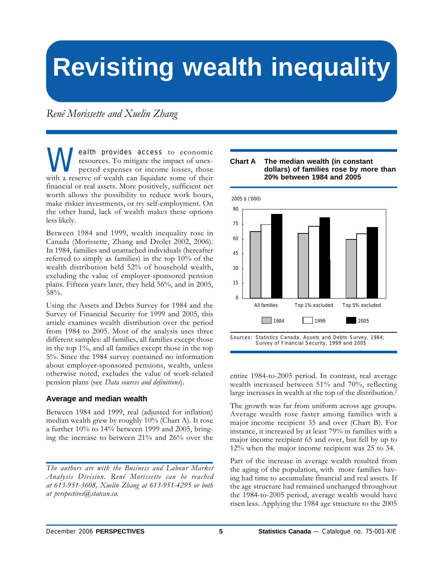# <span id="page-4-0"></span>**Revisiting wealth inequality**

*René Morissette and Xuelin Zhang*

**W** ealth provides access to economic<br>resources. To mitigate the impact of unex-<br>pected expenses or income losses, those<br>with a reserve of wealth can liquidate some of their resources. To mitigate the impact of unexpected expenses or income losses, those with a reserve of wealth can liquidate some of their financial or real assets. More positively, sufficient net worth allows the possibility to reduce work hours, make riskier investments, or try self-employment. On the other hand, lack of wealth makes these options less likely.

Between 1984 and 1999, wealth inequality rose in Canada (Morissette, Zhang and Drolet 2002, 2006). In 1984, families and unattached individuals (hereafter referred to simply as families) in the top 10% of the wealth distribution held 52% of household wealth, excluding the value of employer-sponsored pension plans. Fifteen years later, they held 56%, and in 2005, 58%.

Using the Assets and Debts Survey for 1984 and the Survey of Financial Security for 1999 and 2005, this article examines wealth distribution over the period from 1984 to 2005. Most of the analysis uses three different samples: all families, all families except those in the top 1%, and all families except those in the top 5%. Since the 1984 survey contained no information about employer-sponsored pensions, wealth, unless otherwise noted, excludes the value of work-related pension plans (see *Data sources and definitions*).

#### **Average and median wealth**

Between 1984 and 1999, real (adjusted for inflation) median wealth grew by roughly 10% (Chart A). It rose a further 10% to 14% between 1999 and 2005, bringing the increase to between 21% and 26% over the



#### **Chart A The median wealth (in constant dollars) of families rose by more than 20% between 1984 and 2005**

entire 1984-to-2005 period. In contrast, real average wealth increased between 51% and 70%, reflecting large increases in wealth at the top of the distribution.<sup>2</sup>

The growth was far from uniform across age groups. Average wealth rose faster among families with a major income recipient 35 and over (Chart B). For instance, it increased by at least 79% in families with a major income recipient 65 and over, but fell by up to 12% when the major income recipient was 25 to 34.

Part of the increase in average wealth resulted from the aging of the population, with more families having had time to accumulate financial and real assets. If the age structure had remained unchanged throughout the 1984-to-2005 period, average wealth would have risen less. Applying the 1984 age structure to the 2005

*The authors are with the Business and Labour Market Analysis Division. René Morissette can be reached at 613-951-3608, Xuelin Zhang at 613-951-4295 or both at perspectives@statcan.ca.*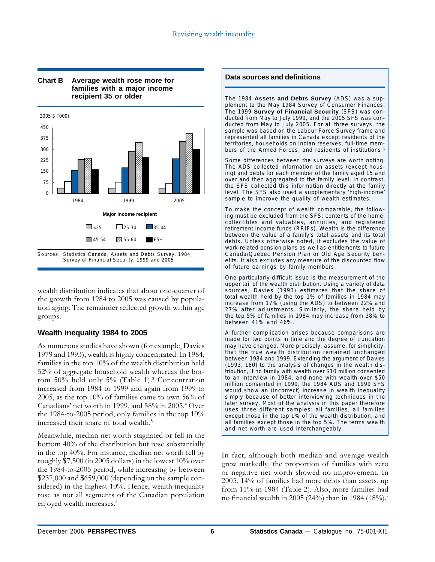

#### **Chart B Average wealth rose more for families with a major income recipient 35 or older**

wealth distribution indicates that about one-quarter of the growth from 1984 to 2005 was caused by population aging. The remainder reflected growth within age groups.

### **Wealth inequality 1984 to 2005**

As numerous studies have shown (for example, Davies 1979 and 1993), wealth is highly concentrated. In 1984, families in the top 10% of the wealth distribution held 52% of aggregate household wealth whereas the bottom 50% held only 5% (Table 1).<sup>3</sup> Concentration increased from 1984 to 1999 and again from 1999 to 2005, as the top 10% of families came to own 56% of Canadians' net worth in 1999, and 58% in 2005.4 Over the 1984-to-2005 period, only families in the top 10% increased their share of total wealth.5

Meanwhile, median net worth stagnated or fell in the bottom 40% of the distribution but rose substantially in the top 40%. For instance, median net worth fell by roughly \$7,500 (in 2005 dollars) in the lowest 10% over the 1984-to-2005 period, while increasing by between \$237,000 and \$659,000 (depending on the sample considered) in the highest 10%. Hence, wealth inequality rose as not all segments of the Canadian population enjoyed wealth increases.<sup>6</sup>

#### **Data sources and definitions**

The 1984 **Assets and Debts Survey** (ADS) was a supplement to the May 1984 Survey of Consumer Finances. The 1999 **Survey of Financial Security** (SFS) was conducted from May to July 1999, and the 2005 SFS was conducted from May to July 2005. For all three surveys, the sample was based on the Labour Force Survey frame and represented all families in Canada except residents of the territories, households on Indian reserves, full-time members of the Armed Forces, and residents of institutions.<sup>1</sup>

Some differences between the surveys are worth noting. The ADS collected information on assets (except housing) and debts for each member of the family aged 15 and over and then aggregated to the family level. In contrast, the SFS collected this information directly at the family level. The SFS also used a supplementary 'high-income' sample to improve the quality of wealth estimates.

To make the concept of wealth comparable, the following must be excluded from the SFS: contents of the home, collectibles and valuables, annuities, and registered retirement income funds (RRIFs). Wealth is the difference between the value of a family's total assets and its total debts. Unless otherwise noted, it excludes the value of work-related pension plans as well as entitlements to future Canada/Quebec Pension Plan or Old Age Security benefits. It also excludes any measure of the discounted flow of future earnings by family members.

One particularly difficult issue is the measurement of the upper tail of the wealth distribution. Using a variety of data sources, Davies (1993) estimates that the share of total wealth held by the top 1% of families in 1984 may increase from 17% (using the ADS) to between 22% and 27% after adjustments. Similarly, the share held by the top 5% of families in 1984 may increase from 38% to between 41% and 46%.

A further complication arises because comparisons are made for two points in time and the degree of truncation may have changed. More precisely, assume, for simplicity, that the true wealth distribution remained unchanged between 1984 and 1999. Extending the argument of Davies (1993, 160) to the analysis of changes in the wealth distribution, if no family with wealth over \$10 million consented to an interview in 1984, and none with wealth over \$50 million consented in 1999, the 1984 ADS and 1999 SFS would show an (incorrect) increase in wealth inequality simply because of better interviewing techniques in the later survey. Most of the analysis in this paper therefore uses three different samples: all families, all families except those in the top 1% of the wealth distribution, and all families except those in the top 5%. The terms wealth and net worth are used interchangeably.

In fact, although both median and average wealth grew markedly, the proportion of families with zero or negative net worth showed no improvement. In 2005, 14% of families had more debts than assets, up from 11% in 1984 (Table 2). Also, more families had no financial wealth in 2005 (24%) than in 1984 (18%).7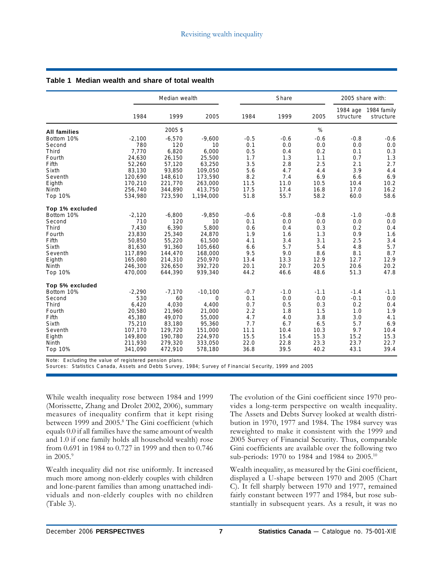|                     | Median wealth |          |           |        | Share  |        |                       | 2005 share with:         |  |
|---------------------|---------------|----------|-----------|--------|--------|--------|-----------------------|--------------------------|--|
|                     | 1984          | 1999     | 2005      | 1984   | 1999   | 2005   | 1984 age<br>structure | 1984 family<br>structure |  |
| <b>All families</b> |               | 2005\$   |           |        |        | %      |                       |                          |  |
| Bottom 10%          | $-2,100$      | $-6,570$ | $-9,600$  | $-0.5$ | $-0.6$ | $-0.6$ | $-0.8$                | $-0.6$                   |  |
| Second              | 780           | 120      | 10        | 0.1    | 0.0    | 0.0    | 0.0                   | 0.0                      |  |
| Third               | 7,770         | 6,820    | 6,000     | 0.5    | 0.4    | 0.2    | 0.1                   | 0.3                      |  |
| Fourth              | 24,630        | 26,150   | 25,500    | 1.7    | 1.3    | 1.1    | 0.7                   | 1.3                      |  |
| Fifth               | 52,260        | 57,120   | 63,250    | 3.5    | 2.8    | 2.5    | 2.1                   | 2.7                      |  |
| Sixth               | 83,130        | 93,850   | 109,050   | 5.6    | 4.7    | 4.4    | 3.9                   | 4.4                      |  |
| Seventh             | 120,690       | 148,610  | 173,590   | 8.2    | 7.4    | 6.9    | 6.6                   | 6.9                      |  |
| Eighth              | 170,210       | 221,770  | 263,000   | 11.5   | 11.0   | 10.5   | 10.4                  | 10.2                     |  |
| <b>Ninth</b>        | 256,740       | 344,890  | 413,750   | 17.5   | 17.4   | 16.8   | 17.0                  | 16.2                     |  |
| Top 10%             | 534,980       | 723,590  | 1,194,000 | 51.8   | 55.7   | 58.2   | 60.0                  | 58.6                     |  |
| Top 1% excluded     |               |          |           |        |        |        |                       |                          |  |
| Bottom 10%          | $-2,120$      | $-6,800$ | $-9,850$  | $-0.6$ | $-0.8$ | $-0.8$ | $-1.0$                | $-0.8$                   |  |
| Second              | 710           | 120      | 10        | 0.1    | 0.0    | 0.0    | 0.0                   | 0.0                      |  |
| Third               | 7,430         | 6,390    | 5,800     | 0.6    | 0.4    | 0.3    | 0.2                   | 0.4                      |  |
| Fourth              | 23,830        | 25,340   | 24,870    | 1.9    | 1.6    | 1.3    | 0.9                   | 1.6                      |  |
| Fifth               | 50,850        | 55,220   | 61,500    | 4.1    | 3.4    | 3.1    | 2.5                   | 3.4                      |  |
| Sixth               | 81,630        | 91,360   | 105,660   | 6.6    | 5.7    | 5.4    | 4.8                   | 5.7                      |  |
| Seventh             | 117,890       | 144,470  | 168,000   | 9.5    | 9.0    | 8.6    | 8.1                   | 8.7                      |  |
| Eighth              | 165,080       | 214,310  | 250,970   | 13.4   | 13.3   | 12.9   | 12.7                  | 12.9                     |  |
| <b>Ninth</b>        | 246,300       | 326,650  | 392,720   | 20.1   | 20.7   | 20.5   | 20.6                  | 20.2                     |  |
| Top 10%             | 470,000       | 644,390  | 939,340   | 44.2   | 46.6   | 48.6   | 51.3                  | 47.8                     |  |
| Top 5% excluded     |               |          |           |        |        |        |                       |                          |  |
| Bottom 10%          | $-2,290$      | $-7,170$ | $-10,100$ | $-0.7$ | $-1.0$ | $-1.1$ | $-1.4$                | $-1.1$                   |  |
| Second              | 530           | 60       | 0         | 0.1    | 0.0    | 0.0    | $-0.1$                | 0.0                      |  |
| Third               | 6,420         | 4,030    | 4,400     | 0.7    | 0.5    | 0.3    | 0.2                   | 0.4                      |  |
| Fourth              | 20,580        | 21,960   | 21,000    | 2.2    | 1.8    | 1.5    | 1.0                   | 1.9                      |  |
| Fifth               | 45,380        | 49,070   | 55,000    | 4.7    | 4.0    | 3.8    | 3.0                   | 4.1                      |  |
| Sixth               | 75,210        | 83,180   | 95,360    | 7.7    | 6.7    | 6.5    | 5.7                   | 6.9                      |  |
| Seventh             | 107,170       | 129,720  | 151,000   | 11.1   | 10.4   | 10.3   | 9.7                   | 10.4                     |  |
| Eighth              | 149,800       | 190,780  | 224,970   | 15.5   | 15.4   | 15.3   | 15.2                  | 15.3                     |  |
| <b>Ninth</b>        | 211,930       | 279,320  | 333,050   | 22.0   | 22.8   | 23.3   | 23.7                  | 22.7                     |  |
| Top 10%             | 341,090       | 472,910  | 578,180   | 36.8   | 39.5   | 40.2   | 43.1                  | 39.4                     |  |

#### **Table 1 Median wealth and share of total wealth**

Note: Excluding the value of registered pension plans.

Sources: Statistics Canada, Assets and Debts Survey, 1984; Survey of Financial Security, 1999 and 2005

While wealth inequality rose between 1984 and 1999 (Morissette, Zhang and Drolet 2002, 2006), summary measures of inequality confirm that it kept rising between 1999 and 2005.<sup>8</sup> The Gini coefficient (which equals 0.0 if all families have the same amount of wealth and 1.0 if one family holds all household wealth) rose from 0.691 in 1984 to 0.727 in 1999 and then to 0.746 in  $2005.^9$ 

Wealth inequality did not rise uniformly. It increased much more among non-elderly couples with children and lone-parent families than among unattached individuals and non-elderly couples with no children (Table 3).

The evolution of the Gini coefficient since 1970 provides a long-term perspective on wealth inequality. The Assets and Debts Survey looked at wealth distribution in 1970, 1977 and 1984. The 1984 survey was reweighted to make it consistent with the 1999 and 2005 Survey of Financial Security. Thus, comparable Gini coefficients are available over the following two sub-periods: 1970 to 1984 and 1984 to 2005.10

Wealth inequality, as measured by the Gini coefficient, displayed a U-shape between 1970 and 2005 (Chart C). It fell sharply between 1970 and 1977, remained fairly constant between 1977 and 1984, but rose substantially in subsequent years. As a result, it was no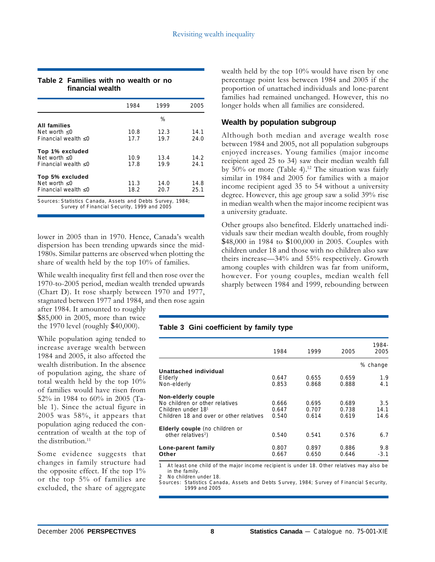#### **Table 2 Families with no wealth or no financial wealth**

|                        | 1984 | 1999 | 2005 |
|------------------------|------|------|------|
|                        |      | $\%$ |      |
| <b>All families</b>    |      |      |      |
| Net worth $\leq 0$     | 10.8 | 12.3 | 14.1 |
| Financial wealth $<$ 0 | 17.7 | 19.7 | 24.0 |
| Top 1% excluded        |      |      |      |
| Net worth $< 0$        | 10.9 | 13.4 | 14.2 |
| Financial wealth $< 0$ | 17.8 | 19.9 | 24.1 |
| Top 5% excluded        |      |      |      |
| Net worth $\leq 0$     | 11.3 | 14.0 | 14.8 |
| Financial wealth $< 0$ | 18.2 | 20.7 | 25.1 |
|                        |      |      |      |

Sources: Statistics Canada, Assets and Debts Survey, 1984; Survey of Financial Security, 1999 and 2005

lower in 2005 than in 1970. Hence, Canada's wealth dispersion has been trending upwards since the mid-1980s. Similar patterns are observed when plotting the share of wealth held by the top 10% of families.

While wealth inequality first fell and then rose over the 1970-to-2005 period, median wealth trended upwards (Chart D). It rose sharply between 1970 and 1977, stagnated between 1977 and 1984, and then rose again

after 1984. It amounted to roughly \$85,000 in 2005, more than twice the 1970 level (roughly \$40,000).

While population aging tended to increase average wealth between 1984 and 2005, it also affected the wealth distribution. In the absence of population aging, the share of total wealth held by the top 10% of families would have risen from 52% in 1984 to 60% in 2005 (Table 1). Since the actual figure in 2005 was 58%, it appears that population aging reduced the concentration of wealth at the top of the distribution. $11$ 

Some evidence suggests that changes in family structure had the opposite effect. If the top  $1\%$ or the top 5% of families are excluded, the share of aggregate wealth held by the top 10% would have risen by one percentage point less between 1984 and 2005 if the proportion of unattached individuals and lone-parent families had remained unchanged. However, this no longer holds when all families are considered.

#### **Wealth by population subgroup**

Although both median and average wealth rose between 1984 and 2005, not all population subgroups enjoyed increases. Young families (major income recipient aged 25 to 34) saw their median wealth fall by  $50\%$  or more (Table 4).<sup>12</sup> The situation was fairly similar in 1984 and 2005 for families with a major income recipient aged 35 to 54 without a university degree. However, this age group saw a solid 39% rise in median wealth when the major income recipient was a university graduate.

Other groups also benefited. Elderly unattached individuals saw their median wealth double, from roughly \$48,000 in 1984 to \$100,000 in 2005. Couples with children under 18 and those with no children also saw theirs increase—34% and 55% respectively. Growth among couples with children was far from uniform, however. For young couples, median wealth fell sharply between 1984 and 1999, rebounding between

#### **Table 3 Gini coefficient by family type**

| Lone-parent family<br>Other                                                            | 0.807<br>0.667 | 0.897<br>0.650 | 0.886<br>0.646 | 9.8<br>$-3.1$ |
|----------------------------------------------------------------------------------------|----------------|----------------|----------------|---------------|
| <b>Elderly couple</b> (no children or<br>other relatives <sup>2</sup> )                | 0.540          | 0.541          | 0.576          | 6.7           |
| Children 18 and over or other relatives                                                | 0.540          | 0.614          | 0.619          | 14.6          |
| Non-elderly couple<br>No children or other relatives<br>Children under 18 <sup>1</sup> | 0.666<br>0.647 | 0.695<br>0.707 | 0.689<br>0.738 | 3.5<br>14.1   |
| Elderly<br>Non-elderly                                                                 | 0.647<br>0.853 | 0.655<br>0.868 | 0.659<br>0.888 | 1.9<br>4.1    |
| Unattached individual                                                                  |                |                |                | % change      |
|                                                                                        | 1984           | 1999           | 2005           | 1984-<br>2005 |
|                                                                                        |                |                |                |               |

1 At least one child of the major income recipient is under 18. Other relatives may also be in the family.

2 No children under 18

Sources: Statistics Canada, Assets and Debts Survey, 1984; Survey of Financial Security, 1999 and 2005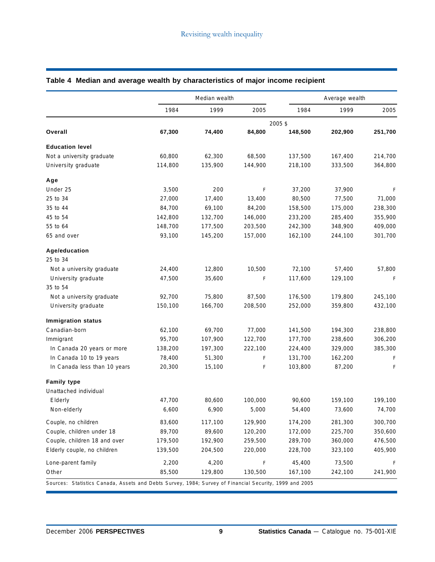|                              |         | Median wealth |         |         | Average wealth |         |  |
|------------------------------|---------|---------------|---------|---------|----------------|---------|--|
|                              | 1984    | 1999          | 2005    | 1984    | 1999           | 2005    |  |
|                              |         |               |         | 2005 \$ |                |         |  |
| Overall                      | 67,300  | 74,400        | 84,800  | 148,500 | 202,900        | 251,700 |  |
| <b>Education level</b>       |         |               |         |         |                |         |  |
| Not a university graduate    | 60,800  | 62,300        | 68,500  | 137,500 | 167,400        | 214,700 |  |
| University graduate          | 114,800 | 135,900       | 144,900 | 218,100 | 333,500        | 364,800 |  |
| Age                          |         |               |         |         |                |         |  |
| Under 25                     | 3,500   | 200           | F       | 37,200  | 37,900         | F       |  |
| 25 to 34                     | 27,000  | 17,400        | 13,400  | 80,500  | 77,500         | 71,000  |  |
| 35 to 44                     | 84,700  | 69,100        | 84,200  | 158,500 | 175,000        | 238,300 |  |
| 45 to 54                     | 142,800 | 132,700       | 146,000 | 233,200 | 285,400        | 355,900 |  |
| 55 to 64                     | 148,700 | 177,500       | 203,500 | 242,300 | 348,900        | 409,000 |  |
| 65 and over                  | 93,100  | 145,200       | 157,000 | 162,100 | 244,100        | 301,700 |  |
| Age/education                |         |               |         |         |                |         |  |
| 25 to 34                     |         |               |         |         |                |         |  |
| Not a university graduate    | 24,400  | 12,800        | 10,500  | 72,100  | 57,400         | 57,800  |  |
| University graduate          | 47,500  | 35,600        | F       | 117,600 | 129,100        | F       |  |
| 35 to 54                     |         |               |         |         |                |         |  |
| Not a university graduate    | 92,700  | 75,800        | 87,500  | 176,500 | 179,800        | 245,100 |  |
| University graduate          | 150,100 | 166,700       | 208,500 | 252,000 | 359,800        | 432,100 |  |
| <b>Immigration status</b>    |         |               |         |         |                |         |  |
| Canadian-born                | 62,100  | 69,700        | 77,000  | 141,500 | 194,300        | 238,800 |  |
| Immigrant                    | 95,700  | 107,900       | 122,700 | 177,700 | 238,600        | 306,200 |  |
| In Canada 20 years or more   | 138,200 | 197,300       | 222,100 | 224,400 | 329,000        | 385,300 |  |
| In Canada 10 to 19 years     | 78,400  | 51,300        | F       | 131,700 | 162,200        | F       |  |
| In Canada less than 10 years | 20,300  | 15,100        | F       | 103,800 | 87,200         | F       |  |
| <b>Family type</b>           |         |               |         |         |                |         |  |
| Unattached individual        |         |               |         |         |                |         |  |
| Elderly                      | 47,700  | 80,600        | 100,000 | 90,600  | 159,100        | 199,100 |  |
| Non-elderly                  | 6,600   | 6,900         | 5,000   | 54,400  | 73,600         | 74,700  |  |
| Couple, no children          | 83,600  | 117,100       | 129,900 | 174,200 | 281,300        | 300,700 |  |
| Couple, children under 18    | 89,700  | 89,600        | 120,200 | 172,000 | 225,700        | 350,600 |  |
| Couple, children 18 and over | 179,500 | 192,900       | 259,500 | 289,700 | 360,000        | 476,500 |  |
| Elderly couple, no children  | 139,500 | 204,500       | 220,000 | 228,700 | 323,100        | 405,900 |  |
| Lone-parent family           | 2,200   | 4,200         | F       | 45,400  | 73,500         | F       |  |
| Other                        | 85,500  | 129,800       | 130,500 | 167,100 | 242,100        | 241,900 |  |

### **Table 4 Median and average wealth by characteristics of major income recipient**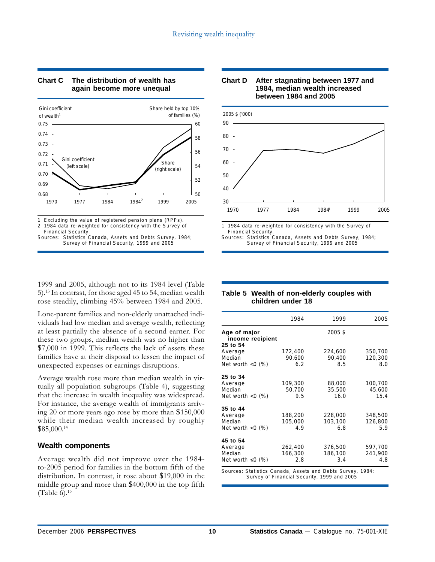

#### **Chart C The distribution of wealth has again become more unequal**

1 Excluding the value of registered pension plans (RPPs).

1984 data re-weighted for consistency with the Survey of

Financial Security. Sources: Statistics Canada, Assets and Debts Survey, 1984; Survey of Financial Security, 1999 and 2005

1999 and 2005, although not to its 1984 level (Table 5).13 In contrast, for those aged 45 to 54, median wealth rose steadily, climbing 45% between 1984 and 2005.

Lone-parent families and non-elderly unattached individuals had low median and average wealth, reflecting at least partially the absence of a second earner. For these two groups, median wealth was no higher than \$7,000 in 1999. This reflects the lack of assets these families have at their disposal to lessen the impact of unexpected expenses or earnings disruptions.

Average wealth rose more than median wealth in virtually all population subgroups (Table 4), suggesting that the increase in wealth inequality was widespread. For instance, the average wealth of immigrants arriving 20 or more years ago rose by more than \$150,000 while their median wealth increased by roughly \$85,000.14

#### **Wealth components**

Average wealth did not improve over the 1984 to-2005 period for families in the bottom fifth of the distribution. In contrast, it rose about \$19,000 in the middle group and more than \$400,000 in the top fifth (Table 6). $15$ 





1 1984 data re-weighted for consistency with the Survey of Financial Security.

Sources: Statistics Canada, Assets and Debts Survey, 1984; Survey of Financial Security, 1999 and 2005

#### **Table 5 Wealth of non-elderly couples with children under 18**

|                                              | 1984    | 1999    | 2005    |
|----------------------------------------------|---------|---------|---------|
| Age of major<br>income recipient<br>25 to 54 |         | 2005\$  |         |
| Average                                      | 172,400 | 224,600 | 350,700 |
| Median                                       | 90,600  | 90,400  | 120,300 |
| Net worth $\leq 0$ (%)                       | 6.2     | 8.5     | 8.0     |
| 25 to 34                                     |         |         |         |
| Average                                      | 109,300 | 88,000  | 100,700 |
| Median                                       | 50,700  | 35,500  | 45,600  |
| Net worth $\leq 0$ (%)                       | 9.5     | 16.0    | 15.4    |
| 35 to 44                                     |         |         |         |
| Average                                      | 188,200 | 228,000 | 348,500 |
| Median                                       | 105,000 | 103,100 | 126,800 |
| Net worth $\leq$ 0 (%)                       | 4.9     | 6.8     | 5.9     |
| 45 to 54                                     |         |         |         |
| Average                                      | 262,400 | 376,500 | 597,700 |
| Median                                       | 166,300 | 186,100 | 241,900 |
| Net worth $\leq 0$ (%)                       | 2.8     | 3.4     | 4.8     |
|                                              |         |         |         |

Sources: Statistics Canada, Assets and Debts Survey, 1984; Survey of Financial Security, 1999 and 2005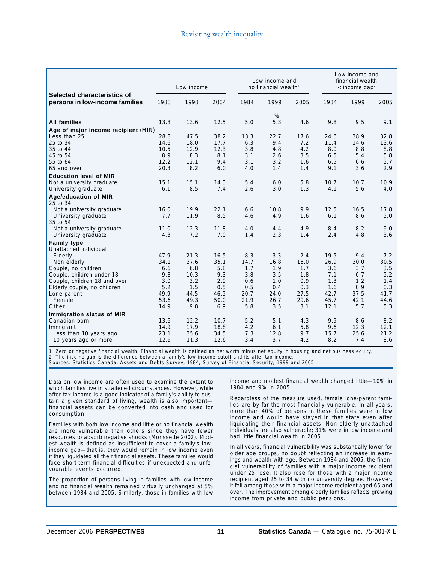|                                                               | Low income   |              | Low income and<br>no financial wealth <sup>1</sup> |            |             | Low income and<br>financial wealth<br>$\leq$ income gap <sup>2</sup> |             |             |             |
|---------------------------------------------------------------|--------------|--------------|----------------------------------------------------|------------|-------------|----------------------------------------------------------------------|-------------|-------------|-------------|
| Selected characteristics of<br>persons in low-income families | 1983         | 1998         | 2004                                               | 1984       | 1999        | 2005                                                                 | 1984        | 1999        | 2005        |
| <b>All families</b>                                           | 13.8         | 13.6         | 12.5                                               | 5.0        | %<br>5.3    | 4.6                                                                  | 9.8         | 9.5         | 9.1         |
| Age of major income recipient (MIR)                           |              |              |                                                    |            |             |                                                                      |             |             |             |
| Less than 25                                                  | 28.8         | 47.5         | 38.2                                               | 13.3       | 22.7        | 17.6                                                                 | 24.6        | 38.9        | 32.8        |
| 25 to 34                                                      | 14.6         | 18.0         | 17.7                                               | 6.3        | 9.4         | 7.2                                                                  | 11.4        | 14.6        | 13.6        |
| 35 to 44                                                      | 10.5         | 12.9         | 12.3                                               | 3.8        | 4.8         | 4.2                                                                  | 8.0         | 8.8         | 8.8         |
| 45 to 54                                                      | 8.9          | 8.3          | 8.1                                                | 3.1        | 2.6         | 3.5                                                                  | 6.5         | 5.4         | 5.8         |
| 55 to 64                                                      | 12.2         | 12.1         | 9.4                                                | 3.1        | 3.2         | 1.6                                                                  | 6.5         | 6.6         | 5.7         |
| 65 and over                                                   | 20.3         | 8.2          | 6.0                                                | 4.0        | 1.4         | 1.4                                                                  | 9.1         | 3.6         | 2.9         |
| <b>Education level of MIR</b>                                 |              |              |                                                    |            |             |                                                                      |             |             |             |
| Not a university graduate                                     | 15.1         | 15.1         | 14.3                                               | 5.4        | 6.0         | 5.8                                                                  | 10.7        | 10.7        | 10.9        |
| University graduate                                           | 6.1          | 8.5          | 7.4                                                | 2.6        | 3.0         | 1.3                                                                  | 4.1         | 5.6         | 4.0         |
| <b>Age/education of MIR</b><br>25 to 34                       |              |              |                                                    |            |             |                                                                      |             |             |             |
| Not a university graduate                                     | 16.0         | 19.9         | 22.1                                               | 6.6        | 10.8        | 9.9                                                                  | 12.5        | 16.5        | 17.8        |
| University graduate                                           | 7.7          | 11.9         | 8.5                                                | 4.6        | 4.9         | 1.6                                                                  | 6.1         | 8.6         | 5.0         |
| 35 to 54                                                      |              |              |                                                    |            |             |                                                                      |             |             |             |
| Not a university graduate<br>University graduate              | 11.0<br>4.3  | 12.3<br>7.2  | 11.8<br>7.0                                        | 4.0<br>1.4 | 4.4<br>2.3  | 4.9<br>1.4                                                           | 8.4<br>2.4  | 8.2<br>4.8  | 9.0<br>3.6  |
|                                                               |              |              |                                                    |            |             |                                                                      |             |             |             |
| <b>Family type</b><br>Unattached individual                   |              |              |                                                    |            |             |                                                                      |             |             |             |
| Elderly                                                       | 47.9         | 21.3         | 16.5                                               | 8.3        | 3.3         | 2.4                                                                  | 19.5        | 9.4         | 7.2         |
| Non elderly                                                   | 34.1         | 37.6         | 35.1                                               | 14.7       | 16.8        | 15.0                                                                 | 26.9        | 30.0        | 30.5        |
| Couple, no children                                           | 6.6          | 6.8          | 5.8                                                | 1.7        | 1.9         | 1.7                                                                  | 3.6         | 3.7         | 3.5         |
| Couple, children under 18                                     | 9.8          | 10.3         | 9.3                                                | 3.8        | 3.5         | 1.8                                                                  | 7.1         | 6.7         | 5.2         |
| Couple, children 18 and over                                  | 3.0          | 3.2          | 2.9                                                | 0.6        | 1.0         | 0.9                                                                  | 1.3         | 1.2         | 1.4         |
| Elderly couple, no children                                   | 5.2          | 1.5          | 0.5                                                | 0.5        | 0.4         | 0.3                                                                  | 1.6         | 0.9         | 0.3         |
| Lone-parent                                                   | 49.9         | 44.5         | 46.5                                               | 20.7       | 24.0        | 27.5                                                                 | 42.7        | 37.5        | 41.7        |
| Female                                                        | 53.6         | 49.3         | 50.0                                               | 21.9       | 26.7        | 29.6                                                                 | 45.7        | 42.1        | 44.6        |
| Other                                                         | 14.9         | 9.8          | 6.9                                                | 5.8        | 3.5         | 3.1                                                                  | 12.1        | 5.7         | 5.3         |
| Immigration status of MIR                                     |              |              |                                                    |            |             |                                                                      |             |             |             |
| Canadian-born                                                 | 13.6         | 12.2         | 10.7<br>18.8                                       | 5.2        | 5.1         | 4.3                                                                  | 9.9         | 8.6<br>12.3 | 8.2<br>12.1 |
| Immigrant<br>Less than 10 years ago                           | 14.9<br>23.1 | 17.9<br>35.6 | 34.5                                               | 4.2<br>7.3 | 6.1<br>12.8 | 5.8<br>9.7                                                           | 9.6<br>15.7 | 25.6        | 21.2        |
| 10 years ago or more                                          | 12.9         | 11.3         | 12.6                                               | 3.4        | 3.7         | 4.2                                                                  | 8.2         | 7.4         | 8.6         |
|                                                               |              |              |                                                    |            |             |                                                                      |             |             |             |

1 Zero or negative financial wealth. Financial wealth is defined as net worth minus net equity in housing and net business equity.

2 The income gap is the difference between a family's low-income cutoff and its after-tax income.

Sources: Statistics Canada, Assets and Debts Survey, 1984; Survey of Financial Security, 1999 and 2005

Data on low income are often used to examine the extent to which families live in straitened circumstances. However, while after-tax income is a good indicator of a family's ability to sustain a given standard of living, wealth is also important financial assets can be converted into cash and used for consumption.

Families with both low income and little or no financial wealth are more vulnerable than others since they have fewer resources to absorb negative shocks (Morissette 2002). Modest wealth is defined as insufficient to cover a family's lowincome gap—that is, they would remain in low income even if they liquidated all their financial assets. These families would face short-term financial difficulties if unexpected and unfavourable events occurred.

The proportion of persons living in families with low income and no financial wealth remained virtually unchanged at 5% between 1984 and 2005. Similarly, those in families with low

income and modest financial wealth changed little—10% in 1984 and 9% in 2005.

Regardless of the measure used, female lone-parent families are by far the most financially vulnerable. In all years, more than 40% of persons in these families were in low income and would have stayed in that state even after liquidating their financial assets. Non-elderly unattached individuals are also vulnerable; 31% were in low income and had little financial wealth in 2005.

In all years, financial vulnerability was substantially lower for older age groups, no doubt reflecting an increase in earnings and wealth with age. Between 1984 and 2005, the financial vulnerability of families with a major income recipient under 25 rose. It also rose for those with a major income recipient aged 25 to 34 with no university degree. However, it fell among those with a major income recipient aged 65 and over. The improvement among elderly families reflects growing income from private and public pensions.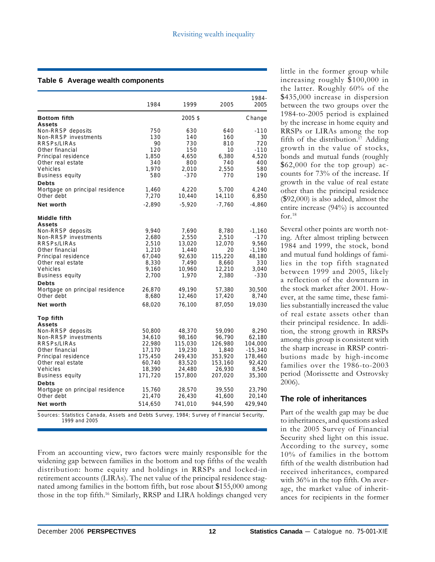#### **Table 6 Average wealth components**

|                                                                                                                                                                                                                                                       | 1984                                                                                               | 1999                                                                                                  | 2005                                                                                                | 1984-<br>2005                                                                                          |
|-------------------------------------------------------------------------------------------------------------------------------------------------------------------------------------------------------------------------------------------------------|----------------------------------------------------------------------------------------------------|-------------------------------------------------------------------------------------------------------|-----------------------------------------------------------------------------------------------------|--------------------------------------------------------------------------------------------------------|
| <b>Bottom fifth</b>                                                                                                                                                                                                                                   |                                                                                                    | 2005\$                                                                                                |                                                                                                     | Change                                                                                                 |
| <b>Assets</b><br>Non-RRSP deposits<br>Non-RRSP investments<br>RRSPs/LIRAs<br>Other financial<br>Principal residence<br>Other real estate<br>Vehicles<br><b>Business equity</b><br><b>Debts</b>                                                        | 750<br>130<br>90<br>120<br>1,850<br>340<br>1,970<br>580                                            | 630<br>140<br>730<br>150<br>4,650<br>800<br>2,010<br>$-370$                                           | 640<br>160<br>810<br>10<br>6,380<br>740<br>2,550<br>770                                             | $-110$<br>30<br>720<br>$-110$<br>4,520<br>400<br>580<br>190                                            |
| Mortgage on principal residence<br>Other debt                                                                                                                                                                                                         | 1,460<br>7,270                                                                                     | 4,220<br>10,440                                                                                       | 5,700<br>14,110                                                                                     | 4,240<br>6,850                                                                                         |
| Net worth                                                                                                                                                                                                                                             | $-2,890$                                                                                           | $-5,920$                                                                                              | $-7,760$                                                                                            | $-4,860$                                                                                               |
| Middle fifth                                                                                                                                                                                                                                          |                                                                                                    |                                                                                                       |                                                                                                     |                                                                                                        |
| Assets<br>Non-RRSP deposits<br>Non-RRSP investments<br>RRSPs/LIRAs<br>Other financial<br>Principal residence<br>Other real estate<br>Vehicles<br><b>Business equity</b><br><b>Debts</b><br>Mortgage on principal residence<br>Other debt<br>Net worth | 9,940<br>2,680<br>2,510<br>1,210<br>67,040<br>8,330<br>9,160<br>2,700<br>26,870<br>8,680<br>68,020 | 7,690<br>2,550<br>13,020<br>1,440<br>92,630<br>7,490<br>10,960<br>1,970<br>49,190<br>12,460<br>76,100 | 8,780<br>2,510<br>12,070<br>20<br>115,220<br>8,660<br>12,210<br>2,380<br>57,380<br>17,420<br>87,050 | -1,160<br>$-170$<br>9,560<br>$-1,190$<br>48,180<br>330<br>3,040<br>$-330$<br>30,500<br>8,740<br>19,030 |
| <b>Top fifth</b>                                                                                                                                                                                                                                      |                                                                                                    |                                                                                                       |                                                                                                     |                                                                                                        |
| <b>Assets</b><br>Non-RRSP deposits<br>Non-RRSP investments<br>RRSPs/LIRAs<br>Other financial<br>Principal residence<br>Other real estate<br>Vehicles<br><b>Business equity</b><br><b>Debts</b><br>Mortgage on principal residence<br>Other debt       | 50,800<br>34,610<br>22,980<br>17,170<br>175,450<br>60,740<br>18,390<br>171,720<br>15,760<br>21,470 | 48,370<br>98,160<br>115,030<br>19,230<br>249,430<br>83,520<br>24,480<br>157,800<br>28,570<br>26,430   | 59,090<br>96,790<br>126,980<br>1,840<br>353,920<br>153,160<br>26,930<br>207,020<br>39,550<br>41,600 | 8,290<br>62,180<br>104,000<br>$-15,340$<br>178,460<br>92,420<br>8,540<br>35,300<br>23,790<br>20,140    |
| Net worth                                                                                                                                                                                                                                             | 514,650                                                                                            | 741,010                                                                                               | 944,590                                                                                             | 429,940                                                                                                |

Sources: Statistics Canada, Assets and Debts Survey, 1984; Survey of Financial Security, 1999 and 2005

From an accounting view, two factors were mainly responsible for the widening gap between families in the bottom and top fifths of the wealth distribution: home equity and holdings in RRSPs and locked-in retirement accounts (LIRAs). The net value of the principal residence stagnated among families in the bottom fifth, but rose about \$155,000 among those in the top fifth.<sup>16</sup> Similarly, RRSP and LIRA holdings changed very little in the former group while increasing roughly \$100,000 in the latter. Roughly 60% of the \$435,000 increase in dispersion between the two groups over the 1984-to-2005 period is explained by the increase in home equity and RRSPs or LIRAs among the top fifth of the distribution.<sup>17</sup> Adding growth in the value of stocks, bonds and mutual funds (roughly \$62,000 for the top group) accounts for 73% of the increase. If growth in the value of real estate other than the principal residence (\$92,000) is also added, almost the entire increase (94%) is accounted for. $18$ 

Several other points are worth noting. After almost tripling between 1984 and 1999, the stock, bond and mutual fund holdings of families in the top fifth stagnated between 1999 and 2005, likely a reflection of the downturn in the stock market after 2001. However, at the same time, these families substantially increased the value of real estate assets other than their principal residence. In addition, the strong growth in RRSPs among this group is consistent with the sharp increase in RRSP contributions made by high-income families over the 1986-to-2003 period (Morissette and Ostrovsky 2006).

### **The role of inheritances**

Part of the wealth gap may be due to inheritances, and questions asked in the 2005 Survey of Financial Security shed light on this issue. According to the survey, some 10% of families in the bottom fifth of the wealth distribution had received inheritances, compared with 36% in the top fifth. On average, the market value of inheritances for recipients in the former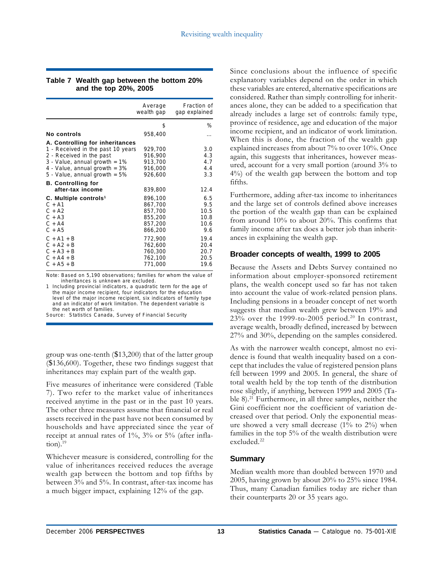#### **Table 7 Wealth gap between the bottom 20% and the top 20%, 2005**

|                                                              | Average<br>wealth gap                    | Fraction of<br>gap explained |
|--------------------------------------------------------------|------------------------------------------|------------------------------|
|                                                              | \$                                       | ℅                            |
| No controls                                                  | 958,400                                  |                              |
| A. Controlling for inheritances                              |                                          |                              |
| 1 - Received in the past 10 years                            | 929,700                                  | 3.0                          |
| 2 - Received in the past                                     | 916,900                                  | 4.3                          |
| $3 - Value$ , annual growth = 1%                             | 913,700                                  | 4.7                          |
| 4 - Value, annual growth $=$ 3%                              | 916,000                                  | 4.4                          |
| 5 - Value, annual growth $= 5\%$                             | 926,600                                  | 3.3                          |
| <b>B.</b> Controlling for                                    |                                          |                              |
| after-tax income                                             | 839,800                                  | 12.4                         |
| C. Multiple controls <sup>1</sup>                            | 896,100                                  | 6.5                          |
| $C + A1$                                                     | 867,700                                  | 9.5                          |
| $C + A2$                                                     | 857,700                                  | 10.5                         |
| $C + A3$                                                     | 855,200                                  | 10.8                         |
| $C + A4$                                                     | 857,200                                  | 10.6                         |
| $C + A5$                                                     | 866,200                                  | 9.6                          |
| $C + A1 + B$<br>$C + A2 + B$<br>$C + A3 + B$<br>$C + A4 + B$ | 772,900<br>762,600<br>760,300<br>762,100 | 19.4<br>20.4<br>20.7<br>20.5 |
| $C + A5 + B$                                                 | 771,000                                  | 19.6                         |

Note: Based on 5,190 observations; families for whom the value of inheritances is unknown are excluded.

1 Including provincial indicators, a quadratic term for the age of the major income recipient, four indicators for the education level of the major income recipient, six indicators of family type and an indicator of work limitation. The dependent variable is the net worth of families.

Source: Statistics Canada, Survey of Financial Security

group was one-tenth (\$13,200) that of the latter group (\$136,600). Together, these two findings suggest that inheritances may explain part of the wealth gap.

Five measures of inheritance were considered (Table 7). Two refer to the market value of inheritances received anytime in the past or in the past 10 years. The other three measures assume that financial or real assets received in the past have not been consumed by households and have appreciated since the year of receipt at annual rates of 1%, 3% or 5% (after inflation). $19$ 

Whichever measure is considered, controlling for the value of inheritances received reduces the average wealth gap between the bottom and top fifths by between 3% and 5%. In contrast, after-tax income has a much bigger impact, explaining 12% of the gap.

Since conclusions about the influence of specific explanatory variables depend on the order in which these variables are entered, alternative specifications are considered. Rather than simply controlling for inheritances alone, they can be added to a specification that already includes a large set of controls: family type, province of residence, age and education of the major income recipient, and an indicator of work limitation. When this is done, the fraction of the wealth gap explained increases from about 7% to over 10%. Once again, this suggests that inheritances, however measured, account for a very small portion (around 3% to 4%) of the wealth gap between the bottom and top fifths.

Furthermore, adding after-tax income to inheritances and the large set of controls defined above increases the portion of the wealth gap than can be explained from around 10% to about 20%. This confirms that family income after tax does a better job than inheritances in explaining the wealth gap.

#### **Broader concepts of wealth, 1999 to 2005**

Because the Assets and Debts Survey contained no information about employer-sponsored retirement plans, the wealth concept used so far has not taken into account the value of work-related pension plans. Including pensions in a broader concept of net worth suggests that median wealth grew between 19% and  $23%$  over the 1999-to-2005 period.<sup>20</sup> In contrast, average wealth, broadly defined, increased by between 27% and 30%, depending on the samples considered.

As with the narrower wealth concept, almost no evidence is found that wealth inequality based on a concept that includes the value of registered pension plans fell between 1999 and 2005. In general, the share of total wealth held by the top tenth of the distribution rose slightly, if anything, between 1999 and 2005 (Table 8).<sup>21</sup> Furthermore, in all three samples, neither the Gini coefficient nor the coefficient of variation decreased over that period. Only the exponential measure showed a very small decrease  $(1\%$  to  $2\%)$  when families in the top 5% of the wealth distribution were excluded.<sup>22</sup>

#### **Summary**

Median wealth more than doubled between 1970 and 2005, having grown by about 20% to 25% since 1984. Thus, many Canadian families today are richer than their counterparts 20 or 35 years ago.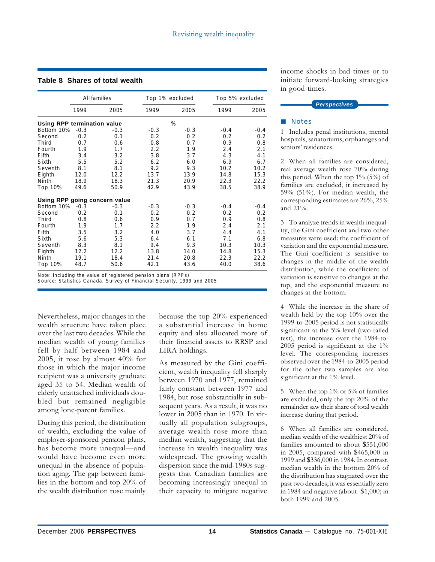#### **Table 8 Shares of total wealth**

|                                    | All families |                               |        | Top 1% excluded | Top 5% excluded |        |  |
|------------------------------------|--------------|-------------------------------|--------|-----------------|-----------------|--------|--|
|                                    | 1999         | 2005                          | 1999   | 2005            | 1999            | 2005   |  |
| <b>Using RPP termination value</b> |              |                               |        | %               |                 |        |  |
| Bottom 10%                         | $-0.3$       | $-0.3$                        | $-0.3$ | $-0.3$          | $-0.4$          | $-0.4$ |  |
| Second                             | 0.2          | 0.1                           | 0.2    | 0.2             | 0.2             | 0.2    |  |
| Third                              | 0.7          | 0.6                           | 0.8    | 0.7             | 0.9             | 0.8    |  |
| Fourth                             | 1.9          | 1.7                           | 2.2    | 1.9             | 2.4             | 2.1    |  |
| Fifth                              | 3.4          | 3.2                           | 3.8    | 3.7             | 4.3             | 4.1    |  |
| Sixth                              | 5.5          | 5.2                           | 6.2    | 6.0             | 6.9             | 6.7    |  |
| Seventh                            | 8.1          | 8.1                           | 9.2    | 9.3             | 10.2            | 10.2   |  |
| Eighth                             | 12.0         | 12.2                          | 13.7   | 13.9            | 14.8            | 15.3   |  |
| Ninth                              | 18.9         | 18.3                          | 21.3   | 20.9            | 22.3            | 22.2   |  |
| Top 10%                            | 49.6         | 50.9                          | 42.9   | 43.9            | 38.5            | 38.9   |  |
|                                    |              | Using RPP going concern value |        |                 |                 |        |  |
| Bottom 10%                         | $-0.3$       | $-0.3$                        | $-0.3$ | $-0.3$          | $-0.4$          | $-0.4$ |  |
| Second                             | 0.2          | 0.1                           | 0.2    | 0.2             | 0.2             | 0.2    |  |
| Third                              | 0.8          | 0.6                           | 0.9    | 0.7             | 0.9             | 0.8    |  |
| Fourth                             | 1.9          | 1.7                           | 2.2    | 1.9             | 2.4             | 2.1    |  |
| Fifth                              | 3.5          | 3.2                           | 4.0    | 3.7             | 4.4             | 4.1    |  |
| Sixth                              | 5.6          | 5.3                           | 6.4    | 6.1             | 7.1             | 6.8    |  |
| Seventh                            | 8.3          | 8.1                           | 9.4    | 9.3             | 10.3            | 10.3   |  |
| Eighth                             | 12.2         | 12.2                          | 13.8   | 14.0            | 14.8            | 15.3   |  |
| Ninth                              | 19.1         | 18.4                          | 21.4   | 20.8            | 22.3            | 22.2   |  |
| Top 10%                            | 48.7         | 50.6                          | 42.1   | 43.6            | 40.0            | 38.6   |  |

Note: Including the value of registered pension plans (RPPs).

Source: Statistics Canada, Survey of Financial Security, 1999 and 2005

Nevertheless, major changes in the wealth structure have taken place over the last two decades. While the median wealth of young families fell by half between 1984 and 2005, it rose by almost 40% for those in which the major income recipient was a university graduate aged 35 to 54. Median wealth of elderly unattached individuals doubled but remained negligible among lone-parent families.

During this period, the distribution of wealth, excluding the value of employer-sponsored pension plans, has become more unequal—and would have become even more unequal in the absence of population aging. The gap between families in the bottom and top 20% of the wealth distribution rose mainly

because the top 20% experienced a substantial increase in home equity and also allocated more of their financial assets to RRSP and LIRA holdings.

As measured by the Gini coefficient, wealth inequality fell sharply between 1970 and 1977, remained fairly constant between 1977 and 1984, but rose substantially in subsequent years. As a result, it was no lower in 2005 than in 1970. In virtually all population subgroups, average wealth rose more than median wealth, suggesting that the increase in wealth inequality was widespread. The growing wealth dispersion since the mid-1980s suggests that Canadian families are becoming increasingly unequal in their capacity to mitigate negative

income shocks in bad times or to initiate forward-looking strategies in good times.



#### **Notes**

1 Includes penal institutions, mental hospitals, sanatoriums, orphanages and seniors' residences.

2 When all families are considered, real average wealth rose 70% during this period. When the top 1% (5%) of families are excluded, it increased by 59% (51%). For median wealth, the corresponding estimates are 26%, 25% and 21%.

3 To analyze trends in wealth inequality, the Gini coefficient and two other measures were used: the coefficient of variation and the exponential measure. The Gini coefficient is sensitive to changes in the middle of the wealth distribution, while the coefficient of variation is sensitive to changes at the top, and the exponential measure to changes at the bottom.

4 While the increase in the share of wealth held by the top 10% over the 1999-to-2005 period is not statistically significant at the 5% level (two-tailed test), the increase over the 1984-to-2005 period is significant at the 1% level. The corresponding increases observed over the 1984-to-2005 period for the other two samples are also significant at the 1% level.

5 When the top 1% or 5% of families are excluded, only the top 20% of the remainder saw their share of total wealth increase during that period.

6 When all families are considered, median wealth of the wealthiest 20% of families amounted to about \$551,000 in 2005, compared with \$465,000 in 1999 and \$336,000 in 1984. In contrast, median wealth in the bottom 20% of the distribution has stagnated over the past two decades; it was essentially zero in 1984 and negative (about -\$1,000) in both 1999 and 2005.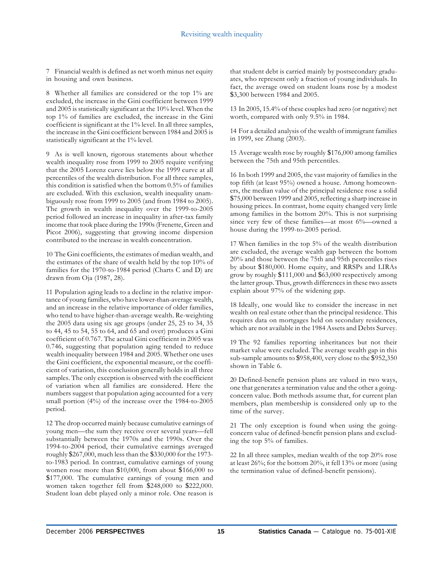7 Financial wealth is defined as net worth minus net equity in housing and own business.

8 Whether all families are considered or the top 1% are excluded, the increase in the Gini coefficient between 1999 and 2005 is statistically significant at the 10% level. When the top 1% of families are excluded, the increase in the Gini coefficient is significant at the 1% level. In all three samples, the increase in the Gini coefficient between 1984 and 2005 is statistically significant at the 1% level.

9 As is well known, rigorous statements about whether wealth inequality rose from 1999 to 2005 require verifying that the 2005 Lorenz curve lies below the 1999 curve at all percentiles of the wealth distribution. For all three samples, this condition is satisfied when the bottom 0.5% of families are excluded. With this exclusion, wealth inequality unambiguously rose from 1999 to 2005 (and from 1984 to 2005). The growth in wealth inequality over the 1999-to-2005 period followed an increase in inequality in after-tax family income that took place during the 1990s (Frenette, Green and Picot 2006), suggesting that growing income dispersion contributed to the increase in wealth concentration.

10 The Gini coefficients, the estimates of median wealth, and the estimates of the share of wealth held by the top 10% of families for the 1970-to-1984 period (Charts C and D) are drawn from Oja (1987, 28).

11 Population aging leads to a decline in the relative importance of young families, who have lower-than-average wealth, and an increase in the relative importance of older families, who tend to have higher-than-average wealth. Re-weighting the 2005 data using six age groups (under 25, 25 to 34, 35 to 44, 45 to 54, 55 to 64, and 65 and over) produces a Gini coefficient of 0.767. The actual Gini coefficient in 2005 was 0.746, suggesting that population aging tended to reduce wealth inequality between 1984 and 2005. Whether one uses the Gini coefficient, the exponential measure, or the coefficient of variation, this conclusion generally holds in all three samples. The only exception is observed with the coefficient of variation when all families are considered. Here the numbers suggest that population aging accounted for a very small portion (4%) of the increase over the 1984-to-2005 period.

12 The drop occurred mainly because cumulative earnings of young men—the sum they receive over several years—fell substantially between the 1970s and the 1990s. Over the 1994-to-2004 period, their cumulative earnings averaged roughly \$267,000, much less than the \$330,000 for the 1973 to-1983 period. In contrast, cumulative earnings of young women rose more than \$10,000, from about \$166,000 to \$177,000. The cumulative earnings of young men and women taken together fell from \$248,000 to \$222,000. Student loan debt played only a minor role. One reason is

that student debt is carried mainly by postsecondary graduates, who represent only a fraction of young individuals. In fact, the average owed on student loans rose by a modest \$3,300 between 1984 and 2005.

13 In 2005, 15.4% of these couples had zero (or negative) net worth, compared with only 9.5% in 1984.

14 For a detailed analysis of the wealth of immigrant families in 1999, see Zhang (2003).

15 Average wealth rose by roughly \$176,000 among families between the 75th and 95th percentiles.

16 In both 1999 and 2005, the vast majority of families in the top fifth (at least 95%) owned a house. Among homeowners, the median value of the principal residence rose a solid \$75,000 between 1999 and 2005, reflecting a sharp increase in housing prices. In contrast, home equity changed very little among families in the bottom 20%. This is not surprising since very few of these families—at most 6%—owned a house during the 1999-to-2005 period.

17 When families in the top 5% of the wealth distribution are excluded, the average wealth gap between the bottom 20% and those between the 75th and 95th percentiles rises by about \$180,000. Home equity, and RRSPs and LIRAs grow by roughly \$111,000 and \$63,000 respectively among the latter group. Thus, growth differences in these two assets explain about 97% of the widening gap.

18 Ideally, one would like to consider the increase in net wealth on real estate other than the principal residence. This requires data on mortgages held on secondary residences, which are not available in the 1984 Assets and Debts Survey.

19 The 92 families reporting inheritances but not their market value were excluded. The average wealth gap in this sub-sample amounts to \$958,400, very close to the \$952,350 shown in Table 6.

20 Defined-benefit pension plans are valued in two ways, one that generates a termination value and the other a goingconcern value. Both methods assume that, for current plan members, plan membership is considered only up to the time of the survey.

21 The only exception is found when using the goingconcern value of defined-benefit pension plans and excluding the top 5% of families.

22 In all three samples, median wealth of the top 20% rose at least 26%; for the bottom 20%, it fell 13% or more (using the termination value of defined-benefit pensions).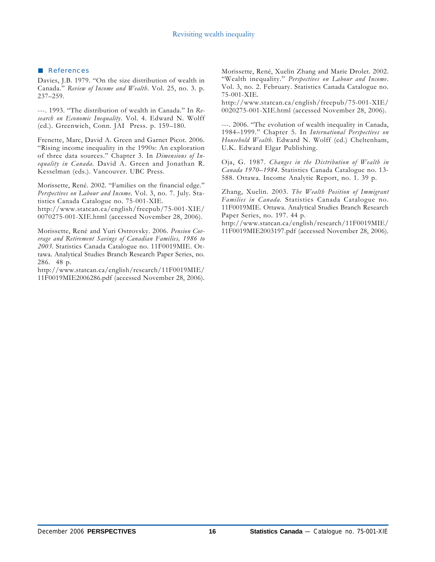#### **References**

Davies, J.B. 1979. "On the size distribution of wealth in Canada." *Review of Income and Wealth*. Vol. 25, no. 3. p. 237–259.

---. 1993. "The distribution of wealth in Canada." In *Research on Economic Inequality*. Vol. 4. Edward N. Wolff (ed.). Greenwich, Conn. JAI Press. p. 159–180.

Frenette, Marc, David A. Green and Garnet Picot. 2006. "Rising income inequality in the 1990s: An exploration of three data sources." Chapter 3. In *Dimensions of Inequality in Canada*. David A. Green and Jonathan R. Kesselman (eds.). Vancouver. UBC Press.

Morissette, René. 2002. "Families on the financial edge." *Perspectives on Labour and Income*. Vol. 3, no. 7. July. Statistics Canada Catalogue no. 75-001-XIE.

http://www.statcan.ca/english/freepub/75-001-XIE/ 0070275-001-XIE.html (accessed November 28, 2006).

Morissette, René and Yuri Ostrovsky. 2006. *Pension Coverage and Retirement Savings of Canadian Families, 1986 to 2003*. Statistics Canada Catalogue no. 11F0019MIE. Ottawa. Analytical Studies Branch Research Paper Series, no. 286. 48 p.

http://www.statcan.ca/english/research/11F0019MIE/ 11F0019MIE2006286.pdf (accessed November 28, 2006).

Morissette, René, Xuelin Zhang and Marie Drolet. 2002. "Wealth inequality." *Perspectives on Labour and Income*. Vol. 3, no. 2. February. Statistics Canada Catalogue no. 75-001-XIE.

http://www.statcan.ca/english/freepub/75-001-XIE/ 0020275-001-XIE.html (accessed November 28, 2006).

---. 2006. "The evolution of wealth inequality in Canada, 1984–1999." Chapter 5. In *International Perspectives on Household Wealth*. Edward N. Wolff (ed.) Cheltenham, U.K. Edward Elgar Publishing.

Oja, G. 1987. *Changes in the Distribution of Wealth in Canada 1970–1984*. Statistics Canada Catalogue no. 13- 588. Ottawa. Income Analytic Report, no. 1. 39 p.

Zhang, Xuelin. 2003. *The Wealth Position of Immigrant Families in Canada*. Statistics Canada Catalogue no. 11F0019MIE. Ottawa. Analytical Studies Branch Research Paper Series, no. 197. 44 p.

http://www.statcan.ca/english/research/11F0019MIE/ 11F0019MIE2003197.pdf (accessed November 28, 2006).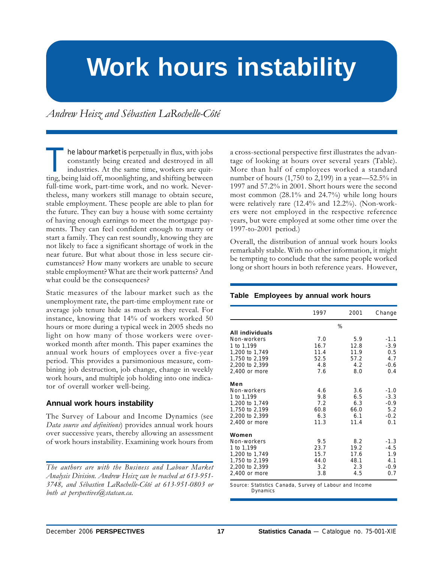# **Work hours instability**

*Andrew Heisz and Sébastien LaRochelle-Côté*

he labour market is perpetually in flux, with jobs constantly being created and destroyed in all industries. At the same time, workers are quitting, being laid off, moonlighting, and shifting between full-time work, part-time work, and no work. Nevertheless, many workers still manage to obtain secure, stable employment. These people are able to plan for the future. They can buy a house with some certainty of having enough earnings to meet the mortgage payments. They can feel confident enough to marry or start a family. They can rest soundly, knowing they are not likely to face a significant shortage of work in the near future. But what about those in less secure circumstances? How many workers are unable to secure stable employment? What are their work patterns? And what could be the consequences?

Static measures of the labour market such as the unemployment rate, the part-time employment rate or average job tenure hide as much as they reveal. For instance, knowing that 14% of workers worked 50 hours or more during a typical week in 2005 sheds no light on how many of those workers were overworked month after month. This paper examines the annual work hours of employees over a five-year period. This provides a parsimonious measure, combining job destruction, job change, change in weekly work hours, and multiple job holding into one indicator of overall worker well-being.

#### **Annual work hours instability**

The Survey of Labour and Income Dynamics (see *Data source and definitions*) provides annual work hours over successive years, thereby allowing an assessment of work hours instability. Examining work hours from

a cross-sectional perspective first illustrates the advantage of looking at hours over several years (Table). More than half of employees worked a standard number of hours (1,750 to 2,199) in a year—52.5% in 1997 and 57.2% in 2001. Short hours were the second most common (28.1% and 24.7%) while long hours were relatively rare (12.4% and 12.2%). (Non-workers were not employed in the respective reference years, but were employed at some other time over the 1997-to-2001 period.)

Overall, the distribution of annual work hours looks remarkably stable. With no other information, it might be tempting to conclude that the same people worked long or short hours in both reference years. However,

#### **Table Employees by annual work hours**

|                 | 1997 | 2001 | Change |
|-----------------|------|------|--------|
|                 |      | %    |        |
| All individuals |      |      |        |
| Non-workers     | 7.0  | 5.9  | $-1.1$ |
| 1 to 1,199      | 16.7 | 12.8 | $-3.9$ |
| 1,200 to 1,749  | 11.4 | 11.9 | 0.5    |
| 1,750 to 2,199  | 52.5 | 57.2 | 4.7    |
| 2,200 to 2,399  | 4.8  | 4.2  | $-0.6$ |
| 2,400 or more   | 7.6  | 8.0  | 0.4    |
| Men             |      |      |        |
| Non-workers     | 4.6  | 3.6  | $-1.0$ |
| 1 to 1,199      | 9.8  | 6.5  | $-3.3$ |
| 1,200 to 1,749  | 7.2  | 6.3  | $-0.9$ |
| 1,750 to 2,199  | 60.8 | 66.0 | 5.2    |
| 2,200 to 2,399  | 6.3  | 6.1  | $-0.2$ |
| 2,400 or more   | 11.3 | 11.4 | 0.1    |
| Women           |      |      |        |
| Non-workers     | 9.5  | 8.2  | $-1.3$ |
| 1 to 1,199      | 23.7 | 19.2 | $-4.5$ |
| 1,200 to 1,749  | 15.7 | 17.6 | 1.9    |
| 1,750 to 2,199  | 44.0 | 48.1 | 4.1    |
| 2,200 to 2,399  | 3.2  | 2.3  | $-0.9$ |
| 2,400 or more   | 3.8  | 4.5  | 0.7    |

Source: Statistics Canada, Survey of Labour and Income Dynamics

*The authors are with the Business and Labour Market Analysis Division. Andrew Heisz can be reached at 613-951- 3748, and Sébastien LaRochelle-Côté at 613-951-0803 or both at perspectives@statcan.ca.*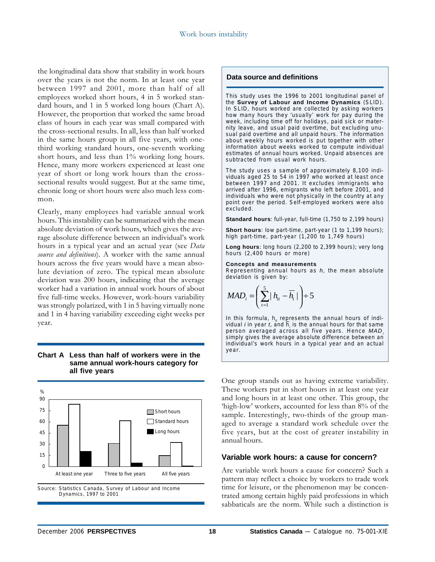the longitudinal data show that stability in work hours over the years is not the norm. In at least one year between 1997 and 2001, more than half of all employees worked short hours, 4 in 5 worked standard hours, and 1 in 5 worked long hours (Chart A). However, the proportion that worked the same broad class of hours in each year was small compared with the cross-sectional results. In all, less than half worked in the same hours group in all five years, with onethird working standard hours, one-seventh working short hours, and less than 1% working long hours. Hence, many more workers experienced at least one year of short or long work hours than the crosssectional results would suggest. But at the same time, chronic long or short hours were also much less common.

Clearly, many employees had variable annual work hours. This instability can be summarized with the mean absolute deviation of work hours, which gives the average absolute difference between an individual's work hours in a typical year and an actual year (see *Data source and definitions*). A worker with the same annual hours across the five years would have a mean absolute deviation of zero. The typical mean absolute deviation was 200 hours, indicating that the average worker had a variation in annual work hours of about five full-time weeks. However, work-hours variability was strongly polarized, with 1 in 5 having virtually none and 1 in 4 having variability exceeding eight weeks per year.

#### **Chart A Less than half of workers were in the same annual work-hours category for all five years**



Source: Statistics Canada, Survey of Labour and Income Dynamics, 1997 to 2001

#### **Data source and definitions**

This study uses the 1996 to 2001 longitudinal panel of the **Survey of Labour and Income Dynamics** (SLID). In SLID, hours worked are collected by asking workers how many hours they 'usually' work for pay during the week, including time off for holidays, paid sick or maternity leave, and usual paid overtime, but excluding unusual paid overtime and all unpaid hours. The information about weekly hours worked is put together with other information about weeks worked to compute individual estimates of annual hours worked. Unpaid absences are subtracted from usual work hours.

The study uses a sample of approximately 8,100 individuals aged 25 to 54 in 1997 who worked at least once between 1997 and 2001. It excludes immigrants who arrived after 1996, emigrants who left before 2001, and individuals who were not physically in the country at any point over the period. Self-employed workers were also excluded.

**Standard hours**: full-year, full-time (1,750 to 2,199 hours)

**Short hours**: low part-time, part-year (1 to 1,199 hours); high part-time, part-year (1,200 to 1,749 hours)

**Long hours**: long hours (2,200 to 2,399 hours); very long hours (2,400 hours or more)

#### **Concepts and measurements**

Representing annual hours as *h*, the mean absolute deviation is given by:

$$
MAD_i = \left(\sum_{t=1}^5 |h_{it} - \overline{h_i}|\right) \div 5
$$

In this formula, h<sub>is</sub> represents the annual hours of individual *i* in year *t*, and  $h_i$  is the annual hours for that same person averaged across all five years. Hence *MAD* simply gives the average absolute difference between an individual's work hours in a typical year and an actual year.

One group stands out as having extreme variability. These workers put in short hours in at least one year and long hours in at least one other. This group, the 'high-low' workers, accounted for less than 8% of the sample. Interestingly, two-thirds of the group managed to average a standard work schedule over the five years, but at the cost of greater instability in annual hours.

#### **Variable work hours: a cause for concern?**

Are variable work hours a cause for concern? Such a pattern may reflect a choice by workers to trade work time for leisure, or the phenomenon may be concentrated among certain highly paid professions in which sabbaticals are the norm. While such a distinction is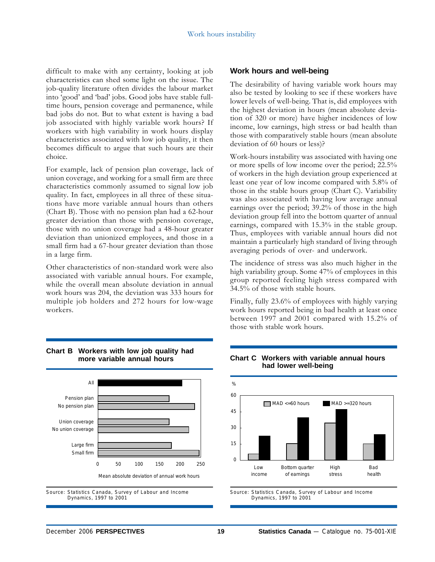difficult to make with any certainty, looking at job characteristics can shed some light on the issue. The job-quality literature often divides the labour market into 'good' and 'bad' jobs. Good jobs have stable fulltime hours, pension coverage and permanence, while bad jobs do not. But to what extent is having a bad job associated with highly variable work hours? If workers with high variability in work hours display characteristics associated with low job quality, it then becomes difficult to argue that such hours are their choice.

For example, lack of pension plan coverage, lack of union coverage, and working for a small firm are three characteristics commonly assumed to signal low job quality. In fact, employees in all three of these situations have more variable annual hours than others (Chart B). Those with no pension plan had a 62-hour greater deviation than those with pension coverage, those with no union coverage had a 48-hour greater deviation than unionized employees, and those in a small firm had a 67-hour greater deviation than those in a large firm.

Other characteristics of non-standard work were also associated with variable annual hours. For example, while the overall mean absolute deviation in annual work hours was 204, the deviation was 333 hours for multiple job holders and 272 hours for low-wage workers.



The desirability of having variable work hours may also be tested by looking to see if these workers have lower levels of well-being. That is, did employees with the highest deviation in hours (mean absolute deviation of 320 or more) have higher incidences of low income, low earnings, high stress or bad health than those with comparatively stable hours (mean absolute deviation of 60 hours or less)?

Work-hours instability was associated with having one or more spells of low income over the period; 22.5% of workers in the high deviation group experienced at least one year of low income compared with 5.8% of those in the stable hours group (Chart C). Variability was also associated with having low average annual earnings over the period; 39.2% of those in the high deviation group fell into the bottom quarter of annual earnings, compared with 15.3% in the stable group. Thus, employees with variable annual hours did not maintain a particularly high standard of living through averaging periods of over- and underwork.

The incidence of stress was also much higher in the high variability group. Some 47% of employees in this group reported feeling high stress compared with 34.5% of those with stable hours.

Finally, fully 23.6% of employees with highly varying work hours reported being in bad health at least once between 1997 and 2001 compared with 15.2% of those with stable work hours.



#### **Chart B Workers with low job quality had more variable annual hours**

#### **Chart C Workers with variable annual hours had lower well-being**



Source: Statistics Canada, Survey of Labour and Income Dynamics, 1997 to 2001